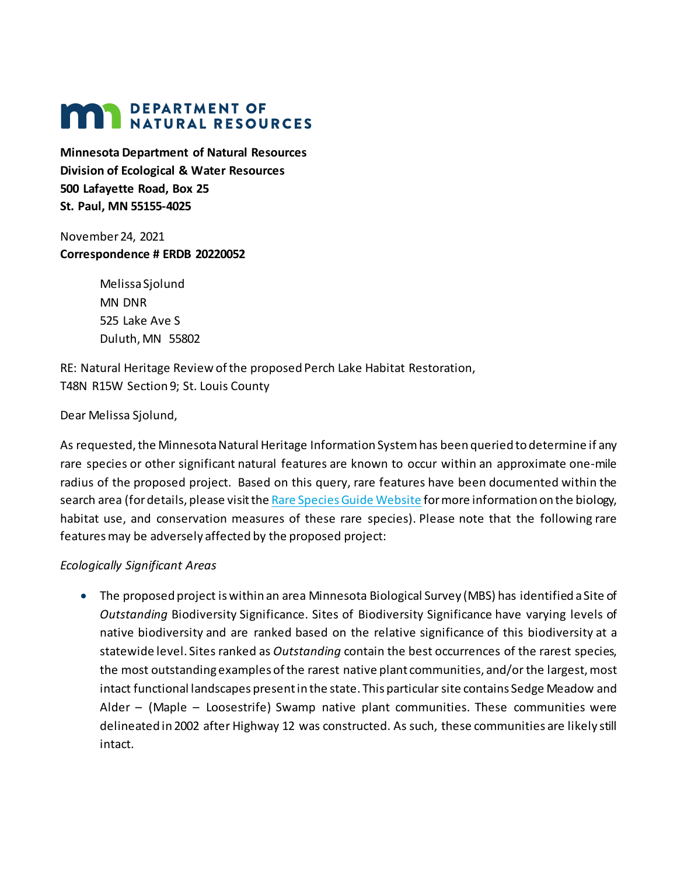# **MAN DEPARTMENT OF NATURAL RESOURCES**

**Minnesota Department of Natural Resources Division of Ecological & Water Resources 500 Lafayette Road, Box 25 St. Paul, MN 55155-4025**

November 24, 2021 **Correspondence # ERDB 20220052**

> Melissa Sjolund MN DNR 525 Lake Ave S Duluth, MN 55802

RE: Natural Heritage Review of the proposed Perch Lake Habitat Restoration, T48N R15W Section 9; St. Louis County

### Dear Melissa Sjolund,

As requested, the Minnesota Natural Heritage Information System has been queried to determine if any rare species or other significant natural features are known to occur within an approximate one-mile radius of the proposed project. Based on this query, rare features have been documented within the search area (for details, please visit th[e Rare Species Guide Website](http://www.dnr.state.mn.us/rsg/index.html) for more information on the biology, habitat use, and conservation measures of these rare species). Please note that the following rare features may be adversely affected by the proposed project:

# *Ecologically Significant Areas*

• The proposed project is within an area Minnesota Biological Survey (MBS) has identified a Site of *Outstanding* Biodiversity Significance. Sites of Biodiversity Significance have varying levels of native biodiversity and are ranked based on the relative significance of this biodiversity at a statewide level. Sites ranked as *Outstanding* contain the best occurrences of the rarest species, the most outstanding examples of the rarest native plant communities, and/or the largest, most intact functional landscapes present in the state. This particular site contains Sedge Meadow and Alder – (Maple – Loosestrife) Swamp native plant communities. These communities were delineated in 2002 after Highway 12 was constructed. As such, these communities are likely still intact.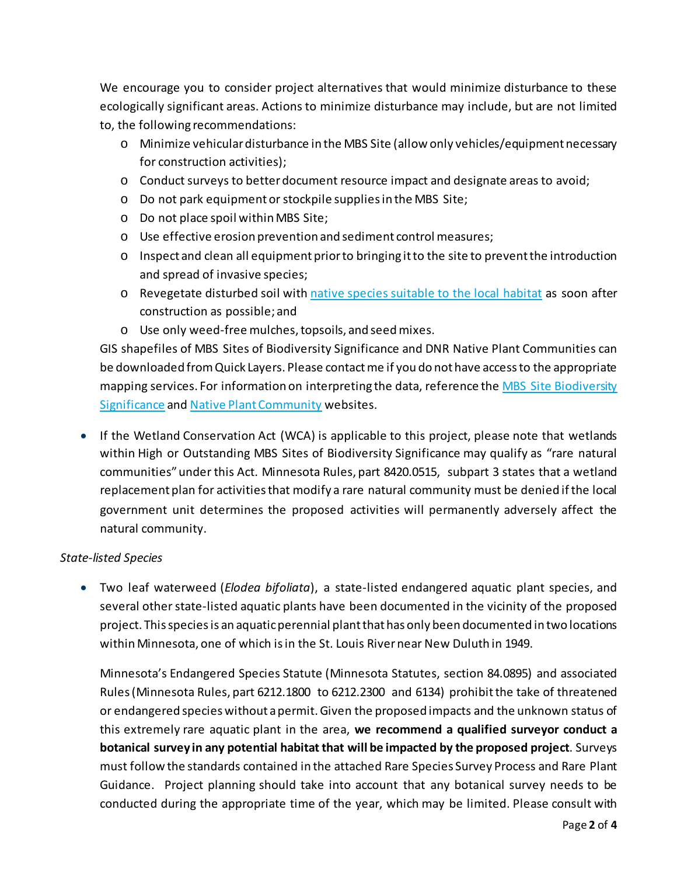We encourage you to consider project alternatives that would minimize disturbance to these ecologically significant areas. Actions to minimize disturbance may include, but are not limited to, the following recommendations:

- o Minimize vehicular disturbance in the MBS Site (allow only vehicles/equipment necessary for construction activities);
- o Conduct surveys to better document resource impact and designate areas to avoid;
- o Do not park equipment or stockpile supplies in the MBS Site;
- o Do not place spoil within MBS Site;
- o Use effective erosion prevention and sediment control measures;
- o Inspect and clean all equipment prior to bringing it to the site to prevent the introduction and spread of invasive species;
- o Revegetate disturbed soil wit[h native species suitable to the local habitat](http://www.bwsr.state.mn.us/native_vegetation/) as soon after construction as possible; and
- o Use only weed-free mulches, topsoils, and seed mixes.

GIS shapefiles of MBS Sites of Biodiversity Significance and DNR Native Plant Communities can be downloaded from Quick Layers. Please contact me if you do not have access to the appropriate mapping services. For information on interpreting the data, reference the MBS Site Biodiversity [Significance](https://www.dnr.state.mn.us/eco/mcbs/biodiversity_guidelines.html) an[d Native Plant Community](https://www.dnr.state.mn.us/npc/index.html) websites.

• If the Wetland Conservation Act (WCA) is applicable to this project, please note that wetlands within High or Outstanding MBS Sites of Biodiversity Significance may qualify as "rare natural communities" under this Act. Minnesota Rules, part 8420.0515, subpart 3 states that a wetland replacement plan for activities that modify a rare natural community must be denied if the local government unit determines the proposed activities will permanently adversely affect the natural community.

# *State-listed Species*

• Two leaf waterweed (*Elodea bifoliata*), a state-listed endangered aquatic plant species, and several other state-listed aquatic plants have been documented in the vicinity of the proposed project. Thisspecies is an aquatic perennial plantthat has only been documented in two locations within Minnesota, one of which isin the St. Louis River near New Duluth in 1949.

Minnesota's Endangered Species Statute (Minnesota Statutes, section 84.0895) and associated Rules (Minnesota Rules, part 6212.1800 to 6212.2300 and 6134) prohibit the take of threatened or endangered species without a permit. Given the proposed impacts and the unknown status of this extremely rare aquatic plant in the area, **we recommend a qualified surveyor conduct a botanical survey in any potential habitat that will be impacted by the proposed project**. Surveys must follow the standards contained in the attached Rare Species Survey Process and Rare Plant Guidance. Project planning should take into account that any botanical survey needs to be conducted during the appropriate time of the year, which may be limited. Please consult with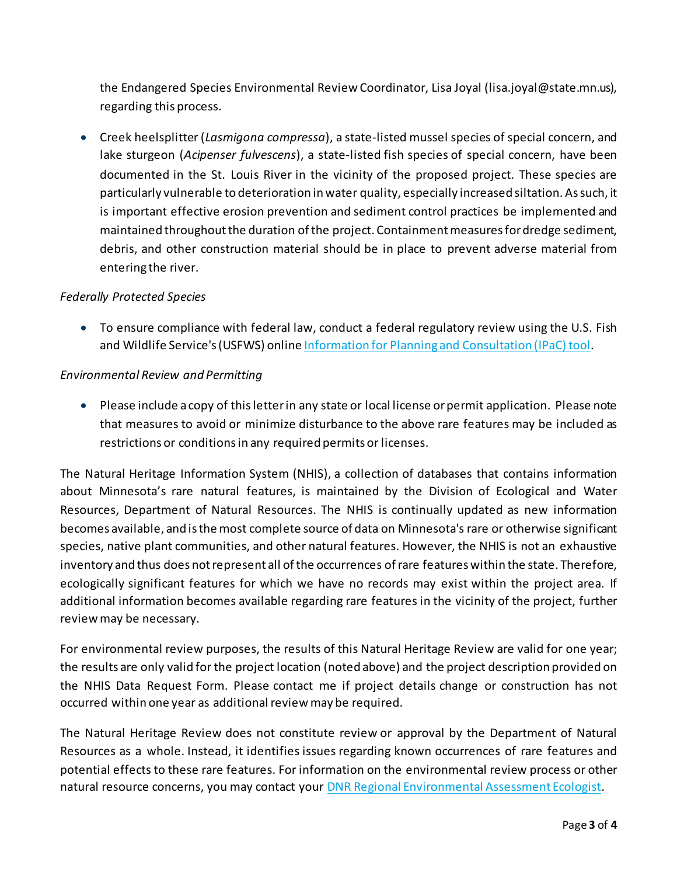the Endangered Species Environmental Review Coordinator, Lisa Joyal (lisa.joyal@state.mn.us), regarding this process.

• Creek heelsplitter (*Lasmigona compressa*), a state-listed mussel species of special concern, and lake sturgeon (*Acipenser fulvescens*), a state-listed fish species of special concern, have been documented in the St. Louis River in the vicinity of the proposed project. These species are particularly vulnerable to deterioration in water quality, especially increased siltation. As such, it is important effective erosion prevention and sediment control practices be implemented and maintained throughout the duration of the project. Containment measures fordredge sediment, debris, and other construction material should be in place to prevent adverse material from entering the river.

### *Federally Protected Species*

• To ensure compliance with federal law, conduct a federal regulatory review using the U.S. Fish and Wildlife Service's (USFWS) online [Information for Planning and Consultation \(IPaC\) tool.](https://ecos.fws.gov/ipac/)

#### *Environmental Review and Permitting*

• Please include a copy of this letter in any state or local license or permit application. Please note that measures to avoid or minimize disturbance to the above rare features may be included as restrictions or conditions in any required permits or licenses.

The Natural Heritage Information System (NHIS), a collection of databases that contains information about Minnesota's rare natural features, is maintained by the Division of Ecological and Water Resources, Department of Natural Resources. The NHIS is continually updated as new information becomes available, and is the most complete source of data on Minnesota's rare or otherwise significant species, native plant communities, and other natural features. However, the NHIS is not an exhaustive inventory and thus does not represent all of the occurrences of rare features within the state. Therefore, ecologically significant features for which we have no records may exist within the project area. If additional information becomes available regarding rare features in the vicinity of the project, further review may be necessary.

For environmental review purposes, the results of this Natural Heritage Review are valid for one year; the results are only valid for the project location (noted above) and the project description provided on the NHIS Data Request Form. Please contact me if project details change or construction has not occurred within one year as additional review may be required.

The Natural Heritage Review does not constitute review or approval by the Department of Natural Resources as a whole. Instead, it identifies issues regarding known occurrences of rare features and potential effects to these rare features. For information on the environmental review process or other natural resource concerns, you may contact your [DNR Regional Environmental Assessment Ecologist.](http://www.dnr.state.mn.us/eco/ereview/erp_regioncontacts.html)